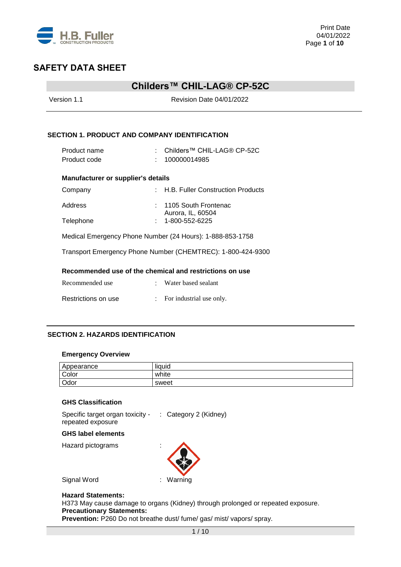

## **Childers™ CHIL-LAG® CP-52C**

| Version 1.1                                               | Revision Date 04/01/2022                                                  |  |
|-----------------------------------------------------------|---------------------------------------------------------------------------|--|
|                                                           | <b>SECTION 1. PRODUCT AND COMPANY IDENTIFICATION</b>                      |  |
| Product name<br>Product code                              | : Childers™ CHIL-LAG® CP-52C<br>100000014985                              |  |
| <b>Manufacturer or supplier's details</b>                 |                                                                           |  |
| Company                                                   | : H.B. Fuller Construction Products                                       |  |
| Address<br>Telephone                                      | $: 1105$ South Frontenac<br>Aurora, IL, 60504<br>$: 1 - 800 - 552 - 6225$ |  |
| Medical Emergency Phone Number (24 Hours): 1-888-853-1758 |                                                                           |  |
|                                                           | Transport Emergency Phone Number (CHEMTREC): 1-800-424-9300               |  |
|                                                           | Recommended use of the chemical and restrictions on use                   |  |
| Recommended use                                           | : Water based sealant                                                     |  |
| Restrictions on use                                       | : For industrial use only.                                                |  |

### **SECTION 2. HAZARDS IDENTIFICATION**

### **Emergency Overview**

| Appearance | $\cdots$<br>liquid |
|------------|--------------------|
| Color      | white              |
| Odor       | sweet              |

### **GHS Classification**

Specific target organ toxicity repeated exposure : Category 2 (Kidney)

#### **GHS label elements**

Hazard pictograms :



Signal Word : Warning

### **Hazard Statements:**

H373 May cause damage to organs (Kidney) through prolonged or repeated exposure. **Precautionary Statements:** 

Prevention: P260 Do not breathe dust/ fume/ gas/ mist/ vapors/ spray.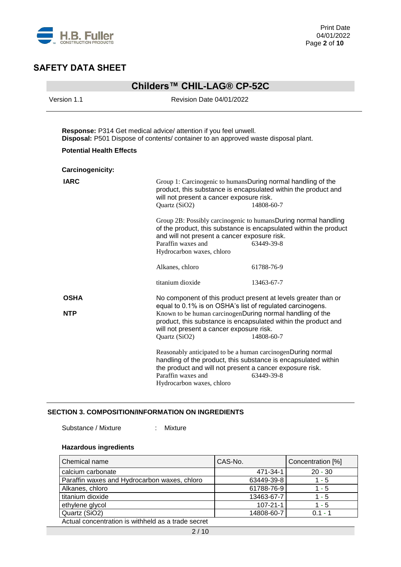

| Childers™ CHIL-LAG® CP-52C                                                                                                                                                                |                                                                                                 |                                                                                                                                                                                                                                                                          |  |
|-------------------------------------------------------------------------------------------------------------------------------------------------------------------------------------------|-------------------------------------------------------------------------------------------------|--------------------------------------------------------------------------------------------------------------------------------------------------------------------------------------------------------------------------------------------------------------------------|--|
| Version 1.1                                                                                                                                                                               | Revision Date 04/01/2022                                                                        |                                                                                                                                                                                                                                                                          |  |
| Response: P314 Get medical advice/ attention if you feel unwell.<br>Disposal: P501 Dispose of contents/ container to an approved waste disposal plant.<br><b>Potential Health Effects</b> |                                                                                                 |                                                                                                                                                                                                                                                                          |  |
| Carcinogenicity:                                                                                                                                                                          |                                                                                                 |                                                                                                                                                                                                                                                                          |  |
| <b>IARC</b>                                                                                                                                                                               | will not present a cancer exposure risk.<br>Quartz (SiO2)                                       | Group 1: Carcinogenic to humansDuring normal handling of the<br>product, this substance is encapsulated within the product and<br>14808-60-7                                                                                                                             |  |
|                                                                                                                                                                                           | and will not present a cancer exposure risk.<br>Paraffin waxes and<br>Hydrocarbon waxes, chloro | Group 2B: Possibly carcinogenic to humansDuring normal handling<br>of the product, this substance is encapsulated within the product<br>63449-39-8                                                                                                                       |  |
|                                                                                                                                                                                           | Alkanes, chloro                                                                                 | 61788-76-9                                                                                                                                                                                                                                                               |  |
|                                                                                                                                                                                           | titanium dioxide                                                                                | 13463-67-7                                                                                                                                                                                                                                                               |  |
| <b>OSHA</b><br><b>NTP</b>                                                                                                                                                                 | will not present a cancer exposure risk.<br>Quartz (SiO2)                                       | No component of this product present at levels greater than or<br>equal to 0.1% is on OSHA's list of regulated carcinogens.<br>Known to be human carcinogenDuring normal handling of the<br>product, this substance is encapsulated within the product and<br>14808-60-7 |  |
|                                                                                                                                                                                           | Paraffin waxes and<br>Hydrocarbon waxes, chloro                                                 | Reasonably anticipated to be a human carcinogenDuring normal<br>handling of the product, this substance is encapsulated within<br>the product and will not present a cancer exposure risk.<br>63449-39-8                                                                 |  |

### **SECTION 3. COMPOSITION/INFORMATION ON INGREDIENTS**

Substance / Mixture : Mixture

## **Hazardous ingredients**

| Chemical name                                      | CAS-No.        | Concentration [%] |
|----------------------------------------------------|----------------|-------------------|
| calcium carbonate                                  | 471-34-1       | $20 - 30$         |
| Paraffin waxes and Hydrocarbon waxes, chloro       | 63449-39-8     | $1 - 5$           |
| Alkanes, chloro                                    | 61788-76-9     | $1 - 5$           |
| titanium dioxide                                   | 13463-67-7     | $1 - 5$           |
| ethylene glycol                                    | $107 - 21 - 1$ | $1 - 5$           |
| Quartz (SiO2)                                      | 14808-60-7     | $0.1 - 1$         |
| Actual concentration is withheld as a trade secret |                |                   |

Actual concentration is withheld as a trade secret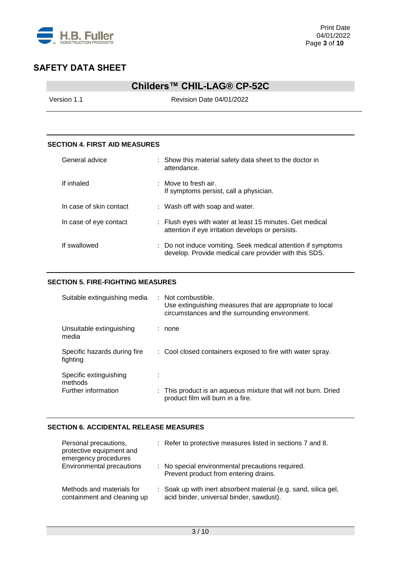

## **Childers™ CHIL-LAG® CP-52C**

Version 1.1 **Version 1.1** Revision Date 04/01/2022

### **SECTION 4. FIRST AID MEASURES**

| General advice          | : Show this material safety data sheet to the doctor in<br>attendance.                                                |
|-------------------------|-----------------------------------------------------------------------------------------------------------------------|
| If inhaled              | : Move to fresh air.<br>If symptoms persist, call a physician.                                                        |
| In case of skin contact | : Wash off with soap and water.                                                                                       |
| In case of eye contact  | : Flush eyes with water at least 15 minutes. Get medical<br>attention if eye irritation develops or persists.         |
| If swallowed            | : Do not induce vomiting. Seek medical attention if symptoms<br>develop. Provide medical care provider with this SDS. |

### **SECTION 5. FIRE-FIGHTING MEASURES**

| Suitable extinguishing media             | : Not combustible.<br>Use extinguishing measures that are appropriate to local<br>circumstances and the surrounding environment. |
|------------------------------------------|----------------------------------------------------------------------------------------------------------------------------------|
| Unsuitable extinguishing<br>media        | : none                                                                                                                           |
| Specific hazards during fire<br>fighting | : Cool closed containers exposed to fire with water spray.                                                                       |
| Specific extinguishing<br>methods        |                                                                                                                                  |
| Further information                      | : This product is an aqueous mixture that will not burn. Dried<br>product film will burn in a fire.                              |

### **SECTION 6. ACCIDENTAL RELEASE MEASURES**

| Personal precautions,<br>protective equipment and<br>emergency procedures | : Refer to protective measures listed in sections 7 and 8.                                                  |
|---------------------------------------------------------------------------|-------------------------------------------------------------------------------------------------------------|
| Environmental precautions                                                 | : No special environmental precautions required.<br>Prevent product from entering drains.                   |
| Methods and materials for<br>containment and cleaning up                  | : Soak up with inert absorbent material (e.g. sand, silica gel,<br>acid binder, universal binder, sawdust). |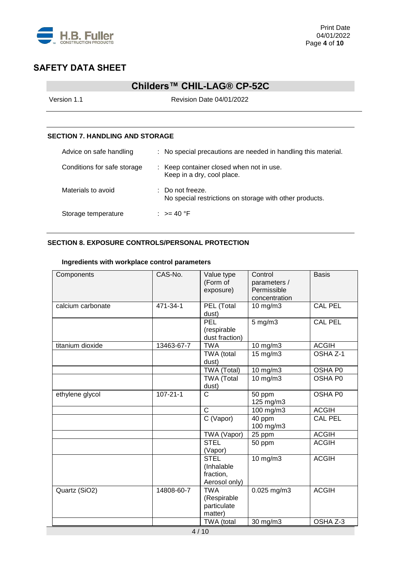

## **Childers™ CHIL-LAG® CP-52C**

Version 1.1 **Version 1.1** Revision Date 04/01/2022

### **SECTION 7. HANDLING AND STORAGE**

| Advice on safe handling     | : No special precautions are needed in handling this material.                         |
|-----------------------------|----------------------------------------------------------------------------------------|
| Conditions for safe storage | : Keep container closed when not in use.<br>Keep in a dry, cool place.                 |
| Materials to avoid          | $\therefore$ Do not freeze.<br>No special restrictions on storage with other products. |
| Storage temperature         | : $> = 40$ °F                                                                          |

## **SECTION 8. EXPOSURE CONTROLS/PERSONAL PROTECTION**

### **Ingredients with workplace control parameters**

| Components        | CAS-No.        | Value type<br>(Form of<br>exposure)                     | Control<br>parameters /<br>Permissible<br>concentration | <b>Basis</b>   |
|-------------------|----------------|---------------------------------------------------------|---------------------------------------------------------|----------------|
| calcium carbonate | 471-34-1       | PEL (Total<br>dust)                                     | 10 mg/m3                                                | <b>CAL PEL</b> |
|                   |                | PEL<br>(respirable<br>dust fraction)                    | $5$ mg/m $3$                                            | <b>CAL PEL</b> |
| titanium dioxide  | 13463-67-7     | <b>TWA</b>                                              | 10 mg/m3                                                | <b>ACGIH</b>   |
|                   |                | TWA (total<br>dust)                                     | 15 mg/m3                                                | OSHA Z-1       |
|                   |                | TWA (Total)                                             | 10 mg/m3                                                | OSHA P0        |
|                   |                | <b>TWA (Total</b><br>dust)                              | 10 mg/m3                                                | OSHA P0        |
| ethylene glycol   | $107 - 21 - 1$ | $\mathsf{C}$                                            | 50 ppm<br>125 mg/m3                                     | OSHA P0        |
|                   |                | $\mathsf{C}$                                            | 100 mg/m3                                               | <b>ACGIH</b>   |
|                   |                | C (Vapor)                                               | 40 ppm<br>100 mg/m3                                     | <b>CAL PEL</b> |
|                   |                | TWA (Vapor)                                             | 25 ppm                                                  | <b>ACGIH</b>   |
|                   |                | <b>STEL</b><br>(Vapor)                                  | 50 ppm                                                  | <b>ACGIH</b>   |
|                   |                | <b>STEL</b><br>(Inhalable<br>fraction,<br>Aerosol only) | $10$ mg/m $3$                                           | <b>ACGIH</b>   |
| Quartz (SiO2)     | 14808-60-7     | <b>TWA</b><br>(Respirable<br>particulate<br>matter)     | $0.025$ mg/m3                                           | <b>ACGIH</b>   |
|                   |                | TWA (total                                              | 30 mg/m3                                                | OSHA Z-3       |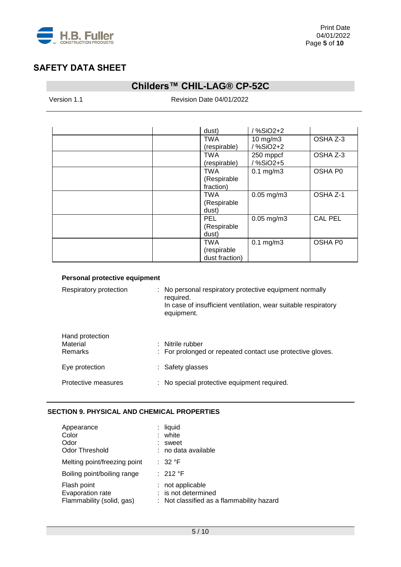

# **Childers™ CHIL-LAG® CP-52C**

Version 1.1 **Version 1.1** Revision Date 04/01/2022

| dust)                                       | /%SiO2+2                  |                |
|---------------------------------------------|---------------------------|----------------|
| <b>TWA</b><br>(respirable)                  | $10$ mg/m $3$<br>/%SiO2+2 | OSHA Z-3       |
| <b>TWA</b><br>(respirable)                  | 250 mppcf<br>/%SiO2+5     | OSHA Z-3       |
| <b>TWA</b><br>(Respirable<br>fraction)      | $0.1$ mg/m $3$            | OSHA P0        |
| <b>TWA</b><br>(Respirable<br>dust)          | $0.05$ mg/m $3$           | OSHA Z-1       |
| <b>PEL</b><br>(Respirable<br>dust)          | $0.05$ mg/m $3$           | <b>CAL PEL</b> |
| <b>TWA</b><br>(respirable<br>dust fraction) | $0.1$ mg/m $3$            | OSHA P0        |

| Respiratory protection                        | : No personal respiratory protective equipment normally<br>required.<br>In case of insufficient ventilation, wear suitable respiratory<br>equipment. |
|-----------------------------------------------|------------------------------------------------------------------------------------------------------------------------------------------------------|
| Hand protection<br>Material<br><b>Remarks</b> | : Nitrile rubber<br>: For prolonged or repeated contact use protective gloves.                                                                       |
| Eye protection                                | : Safety glasses                                                                                                                                     |
| Protective measures                           | : No special protective equipment required.                                                                                                          |

### **SECTION 9. PHYSICAL AND CHEMICAL PROPERTIES**

| Appearance<br>Color<br>Odor<br><b>Odor Threshold</b>         | liquid<br>: white<br>sweet<br>: no data available                                  |
|--------------------------------------------------------------|------------------------------------------------------------------------------------|
| Melting point/freezing point                                 | : 32 °F                                                                            |
| Boiling point/boiling range                                  | : 212 °F                                                                           |
| Flash point<br>Evaporation rate<br>Flammability (solid, gas) | not applicable<br>: is not determined<br>: Not classified as a flammability hazard |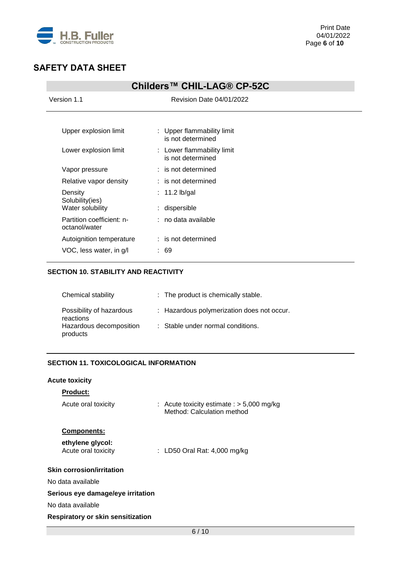

# **Childers™ CHIL-LAG® CP-52C**

| Version 1.1                                | Revision Date 04/01/2022                        |
|--------------------------------------------|-------------------------------------------------|
|                                            |                                                 |
| Upper explosion limit                      | : Upper flammability limit<br>is not determined |
| Lower explosion limit                      | : Lower flammability limit<br>is not determined |
| Vapor pressure                             | $:$ is not determined                           |
| Relative vapor density                     | $:$ is not determined                           |
| Density<br>Solubility(ies)                 | $: 11.2$ lb/gal                                 |
| Water solubility                           | dispersible                                     |
| Partition coefficient: n-<br>octanol/water | : no data available                             |
| Autoignition temperature                   | $:$ is not determined                           |
| VOC, less water, in g/l                    | : 69                                            |

### **SECTION 10. STABILITY AND REACTIVITY**

| Chemical stability                    | : The product is chemically stable.        |
|---------------------------------------|--------------------------------------------|
| Possibility of hazardous<br>reactions | : Hazardous polymerization does not occur. |
| Hazardous decomposition<br>products   | : Stable under normal conditions.          |

## **SECTION 11. TOXICOLOGICAL INFORMATION**

## **Acute toxicity**

| <b>Product:</b>                          |                                                                           |
|------------------------------------------|---------------------------------------------------------------------------|
| Acute oral toxicity                      | : Acute toxicity estimate : $>$ 5,000 mg/kg<br>Method: Calculation method |
| <b>Components:</b>                       |                                                                           |
| ethylene glycol:<br>Acute oral toxicity  | : LD50 Oral Rat: 4,000 mg/kg                                              |
| <b>Skin corrosion/irritation</b>         |                                                                           |
| No data available                        |                                                                           |
| Serious eye damage/eye irritation        |                                                                           |
| No data available                        |                                                                           |
| <b>Respiratory or skin sensitization</b> |                                                                           |
|                                          |                                                                           |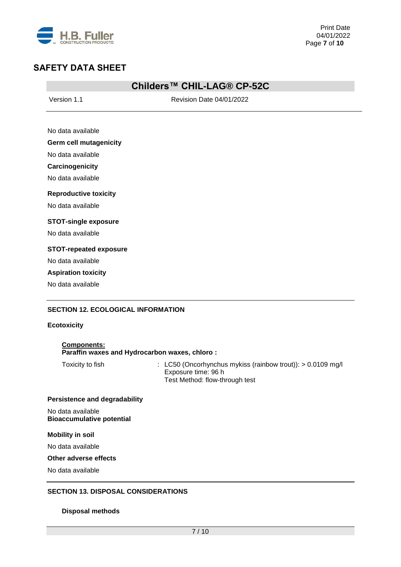

## **Childers™ CHIL-LAG® CP-52C**

Version 1.1 **News** Revision Date 04/01/2022

| No data available |  |
|-------------------|--|
|                   |  |

### **Germ cell mutagenicity**

No data available

**Carcinogenicity**

No data available

### **Reproductive toxicity**

No data available

### **STOT-single exposure**

No data available

### **STOT-repeated exposure**

No data available

### **Aspiration toxicity**

No data available

### **SECTION 12. ECOLOGICAL INFORMATION**

### **Ecotoxicity**

| <b>Components:</b>                            |  |
|-----------------------------------------------|--|
| Paraffin waxes and Hydrocarbon waxes, chloro: |  |

Toxicity to fish : LC50 (Oncorhynchus mykiss (rainbow trout)): > 0.0109 mg/l Exposure time: 96 h Test Method: flow-through test

### **Persistence and degradability**

No data available **Bioaccumulative potential**

#### **Mobility in soil**

No data available

#### **Other adverse effects**

No data available

### **SECTION 13. DISPOSAL CONSIDERATIONS**

#### **Disposal methods**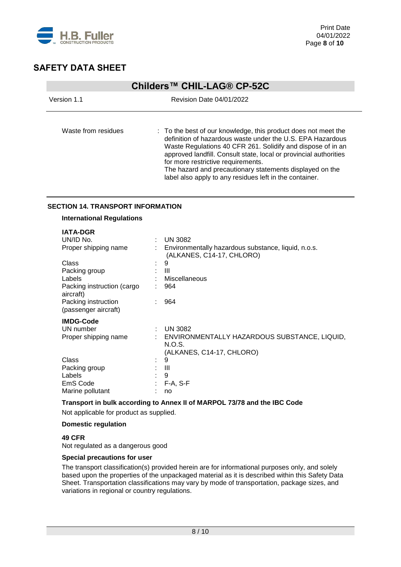

| Childers™ CHIL-LAG® CP-52C |                                                                                                                                                                                                                                                                                                                                                                                                                               |  |  |  |
|----------------------------|-------------------------------------------------------------------------------------------------------------------------------------------------------------------------------------------------------------------------------------------------------------------------------------------------------------------------------------------------------------------------------------------------------------------------------|--|--|--|
| Version 1.1                | <b>Revision Date 04/01/2022</b>                                                                                                                                                                                                                                                                                                                                                                                               |  |  |  |
| Waste from residues        | : To the best of our knowledge, this product does not meet the<br>definition of hazardous waste under the U.S. EPA Hazardous<br>Waste Regulations 40 CFR 261. Solidify and dispose of in an<br>approved landfill. Consult state, local or provincial authorities<br>for more restrictive requirements.<br>The hazard and precautionary statements displayed on the<br>label also apply to any residues left in the container. |  |  |  |

### **SECTION 14. TRANSPORT INFORMATION**

### **International Regulations**

| <b>IATA-DGR</b>                             |    |                                                                                  |
|---------------------------------------------|----|----------------------------------------------------------------------------------|
| UN/ID No.                                   |    | $:$ UN 3082                                                                      |
| Proper shipping name                        |    | Environmentally hazardous substance, liquid, n.o.s.<br>(ALKANES, C14-17, CHLORO) |
| Class                                       | ٠  | 9                                                                                |
| Packing group                               |    | Ш                                                                                |
| Labels                                      |    | Miscellaneous                                                                    |
| Packing instruction (cargo<br>aircraft)     |    | 964                                                                              |
| Packing instruction<br>(passenger aircraft) |    | 964                                                                              |
| <b>IMDG-Code</b>                            |    |                                                                                  |
| UN number                                   | ÷. | <b>UN 3082</b>                                                                   |
| Proper shipping name                        |    | ENVIRONMENTALLY HAZARDOUS SUBSTANCE, LIQUID,<br>N.O.S.                           |
|                                             |    | (ALKANES, C14-17, CHLORO)                                                        |
| Class                                       |    | 9                                                                                |
| Packing group                               |    | Ш                                                                                |
| Labels                                      |    | 9                                                                                |
| EmS Code                                    | ÷  | $F-A, S-F$                                                                       |
| Marine pollutant                            |    | no                                                                               |

### **Transport in bulk according to Annex II of MARPOL 73/78 and the IBC Code**

Not applicable for product as supplied.

### **Domestic regulation**

### **49 CFR**

Not regulated as a dangerous good

#### **Special precautions for user**

The transport classification(s) provided herein are for informational purposes only, and solely based upon the properties of the unpackaged material as it is described within this Safety Data Sheet. Transportation classifications may vary by mode of transportation, package sizes, and variations in regional or country regulations.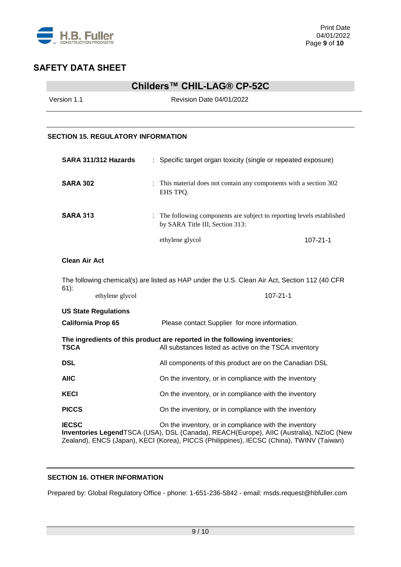

## **Childers™ CHIL-LAG® CP-52C**

Version 1.1 **New York 2012** Revision Date 04/01/2022

### **SECTION 15. REGULATORY INFORMATION**

|                                                                                               | SARA 311/312 Hazards | : Specific target organ toxicity (single or repeated exposure)                                            |                |
|-----------------------------------------------------------------------------------------------|----------------------|-----------------------------------------------------------------------------------------------------------|----------------|
| <b>SARA 302</b>                                                                               |                      | : This material does not contain any components with a section 302<br>EHS TPO.                            |                |
| <b>SARA 313</b>                                                                               |                      | : The following components are subject to reporting levels established<br>by SARA Title III, Section 313: |                |
|                                                                                               |                      | ethylene glycol                                                                                           | $107 - 21 - 1$ |
| <b>Clean Air Act</b>                                                                          |                      |                                                                                                           |                |
| The following chemical(s) are listed as HAP under the U.S. Clean Air Act, Section 112 (40 CFR |                      |                                                                                                           |                |
| $61$ :                                                                                        | ethylene glycol      | $107 - 21 - 1$                                                                                            |                |

| <b>US State Regulations</b> |                                                                                                                                     |  |  |
|-----------------------------|-------------------------------------------------------------------------------------------------------------------------------------|--|--|
| <b>California Prop 65</b>   | Please contact Supplier for more information.                                                                                       |  |  |
| <b>TSCA</b>                 | The ingredients of this product are reported in the following inventories:<br>All substances listed as active on the TSCA inventory |  |  |
| <b>DSL</b>                  | All components of this product are on the Canadian DSL                                                                              |  |  |
| <b>AIIC</b>                 | On the inventory, or in compliance with the inventory                                                                               |  |  |
| <b>KECI</b>                 | On the inventory, or in compliance with the inventory                                                                               |  |  |
| <b>PICCS</b>                | On the inventory, or in compliance with the inventory                                                                               |  |  |
| <b>IECSC</b>                | On the inventory, or in compliance with the inventory                                                                               |  |  |

**Inventories Legend**TSCA (USA), DSL (Canada), REACH(Europe), AIIC (Australia), NZIoC (New Zealand), ENCS (Japan), KECI (Korea), PICCS (Philippines), IECSC (China), TWINV (Taiwan)

## **SECTION 16. OTHER INFORMATION**

Prepared by: Global Regulatory Office - phone: 1-651-236-5842 - email: msds.request@hbfuller.com